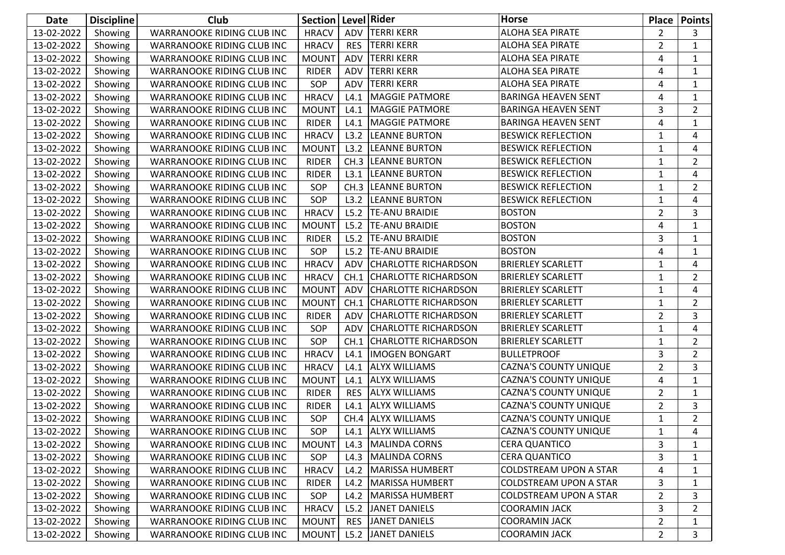| Date       | <b>Discipline</b> | Club                              | Section      |            | Level Rider                 | <b>Horse</b>                  |                | Place   Points |
|------------|-------------------|-----------------------------------|--------------|------------|-----------------------------|-------------------------------|----------------|----------------|
| 13-02-2022 | Showing           | WARRANOOKE RIDING CLUB INC        | <b>HRACV</b> | ADV        | <b>TERRI KERR</b>           | ALOHA SEA PIRATE              | $\overline{2}$ | 3              |
| 13-02-2022 | Showing           | <b>WARRANOOKE RIDING CLUB INC</b> | <b>HRACV</b> | <b>RES</b> | <b>TERRI KERR</b>           | <b>ALOHA SEA PIRATE</b>       | $\overline{2}$ | $\mathbf{1}$   |
| 13-02-2022 | Showing           | WARRANOOKE RIDING CLUB INC        | <b>MOUNT</b> | ADV        | <b>TERRI KERR</b>           | <b>ALOHA SEA PIRATE</b>       | 4              | 1              |
| 13-02-2022 | Showing           | WARRANOOKE RIDING CLUB INC        | <b>RIDER</b> | ADV        | <b>TERRI KERR</b>           | ALOHA SEA PIRATE              | 4              | 1              |
| 13-02-2022 | Showing           | WARRANOOKE RIDING CLUB INC        | SOP          | ADV        | <b>TERRI KERR</b>           | <b>ALOHA SEA PIRATE</b>       | 4              | 1              |
| 13-02-2022 | Showing           | WARRANOOKE RIDING CLUB INC        | <b>HRACV</b> | L4.1       | <b>MAGGIE PATMORE</b>       | <b>BARINGA HEAVEN SENT</b>    | 4              | $\mathbf{1}$   |
| 13-02-2022 | Showing           | WARRANOOKE RIDING CLUB INC        | <b>MOUNT</b> | L4.1       | <b>MAGGIE PATMORE</b>       | <b>BARINGA HEAVEN SENT</b>    | 3              | $\overline{2}$ |
| 13-02-2022 | Showing           | WARRANOOKE RIDING CLUB INC        | <b>RIDER</b> | L4.1       | MAGGIE PATMORE              | <b>BARINGA HEAVEN SENT</b>    | 4              | 1              |
| 13-02-2022 | Showing           | WARRANOOKE RIDING CLUB INC        | <b>HRACV</b> | L3.2       | <b>LEANNE BURTON</b>        | <b>BESWICK REFLECTION</b>     | 1              | 4              |
| 13-02-2022 | Showing           | <b>WARRANOOKE RIDING CLUB INC</b> | <b>MOUNT</b> | L3.2       | <b>LEANNE BURTON</b>        | <b>BESWICK REFLECTION</b>     | 1              | 4              |
| 13-02-2022 | Showing           | WARRANOOKE RIDING CLUB INC        | <b>RIDER</b> | CH.3       | <b>LEANNE BURTON</b>        | <b>BESWICK REFLECTION</b>     | 1              | $\overline{2}$ |
| 13-02-2022 | Showing           | WARRANOOKE RIDING CLUB INC        | <b>RIDER</b> | L3.1       | <b>LEANNE BURTON</b>        | <b>BESWICK REFLECTION</b>     | 1              | 4              |
| 13-02-2022 | Showing           | WARRANOOKE RIDING CLUB INC        | SOP          | CH.3       | <b>LEANNE BURTON</b>        | <b>BESWICK REFLECTION</b>     | 1              | $\overline{2}$ |
| 13-02-2022 | Showing           | WARRANOOKE RIDING CLUB INC        | SOP          | L3.2       | <b>LEANNE BURTON</b>        | <b>BESWICK REFLECTION</b>     | 1              | 4              |
| 13-02-2022 | Showing           | WARRANOOKE RIDING CLUB INC        | <b>HRACV</b> | L5.2       | <b>TE-ANU BRAIDIE</b>       | <b>BOSTON</b>                 | $\overline{2}$ | 3              |
| 13-02-2022 | Showing           | <b>WARRANOOKE RIDING CLUB INC</b> | <b>MOUNT</b> | L5.2       | <b>TE-ANU BRAIDIE</b>       | <b>BOSTON</b>                 | 4              | 1              |
| 13-02-2022 | Showing           | WARRANOOKE RIDING CLUB INC        | <b>RIDER</b> | L5.2       | <b>TE-ANU BRAIDIE</b>       | <b>BOSTON</b>                 | 3              | 1              |
| 13-02-2022 | Showing           | WARRANOOKE RIDING CLUB INC        | SOP          | L5.2       | <b>TE-ANU BRAIDIE</b>       | <b>BOSTON</b>                 | 4              | 1              |
| 13-02-2022 | Showing           | WARRANOOKE RIDING CLUB INC        | <b>HRACV</b> | ADV        | <b>CHARLOTTE RICHARDSON</b> | <b>BRIERLEY SCARLETT</b>      | 1              | 4              |
| 13-02-2022 | Showing           | WARRANOOKE RIDING CLUB INC        | <b>HRACV</b> | CH.1       | <b>CHARLOTTE RICHARDSON</b> | <b>BRIERLEY SCARLETT</b>      | 1              | $\overline{2}$ |
| 13-02-2022 | Showing           | WARRANOOKE RIDING CLUB INC        | <b>MOUNT</b> | ADV        | <b>CHARLOTTE RICHARDSON</b> | <b>BRIERLEY SCARLETT</b>      | 1              | 4              |
| 13-02-2022 | Showing           | WARRANOOKE RIDING CLUB INC        | <b>MOUNT</b> | CH.1       | <b>CHARLOTTE RICHARDSON</b> | <b>BRIERLEY SCARLETT</b>      | 1              | $\overline{2}$ |
| 13-02-2022 | Showing           | WARRANOOKE RIDING CLUB INC        | <b>RIDER</b> | <b>ADV</b> | <b>CHARLOTTE RICHARDSON</b> | <b>BRIERLEY SCARLETT</b>      | 2              | 3              |
| 13-02-2022 | Showing           | WARRANOOKE RIDING CLUB INC        | SOP          | ADV        | <b>CHARLOTTE RICHARDSON</b> | <b>BRIERLEY SCARLETT</b>      | 1              | 4              |
| 13-02-2022 | Showing           | WARRANOOKE RIDING CLUB INC        | SOP          |            | CH.1 CHARLOTTE RICHARDSON   | <b>BRIERLEY SCARLETT</b>      | 1              | $\overline{2}$ |
| 13-02-2022 | Showing           | <b>WARRANOOKE RIDING CLUB INC</b> | <b>HRACV</b> | L4.1       | <b>IMOGEN BONGART</b>       | <b>BULLETPROOF</b>            | 3              | $\overline{2}$ |
| 13-02-2022 | Showing           | WARRANOOKE RIDING CLUB INC        | <b>HRACV</b> | L4.1       | <b>ALYX WILLIAMS</b>        | <b>CAZNA'S COUNTY UNIQUE</b>  | 2              | 3              |
| 13-02-2022 | Showing           | WARRANOOKE RIDING CLUB INC        | <b>MOUNT</b> | L4.1       | <b>ALYX WILLIAMS</b>        | <b>CAZNA'S COUNTY UNIQUE</b>  | 4              | $\mathbf{1}$   |
| 13-02-2022 | Showing           | WARRANOOKE RIDING CLUB INC        | <b>RIDER</b> | <b>RES</b> | <b>ALYX WILLIAMS</b>        | <b>CAZNA'S COUNTY UNIQUE</b>  | $\overline{2}$ | 1              |
| 13-02-2022 | Showing           | <b>WARRANOOKE RIDING CLUB INC</b> | <b>RIDER</b> | L4.1       | <b>ALYX WILLIAMS</b>        | <b>CAZNA'S COUNTY UNIQUE</b>  | $\overline{2}$ | 3              |
| 13-02-2022 | Showing           | WARRANOOKE RIDING CLUB INC        | SOP          |            | CH.4 ALYX WILLIAMS          | <b>CAZNA'S COUNTY UNIQUE</b>  | 1              | $\overline{2}$ |
| 13-02-2022 | Showing           | WARRANOOKE RIDING CLUB INC        | SOP          |            | L4.1 ALYX WILLIAMS          | <b>CAZNA'S COUNTY UNIQUE</b>  | $\mathbf{1}$   | $\overline{4}$ |
| 13-02-2022 | Showing           | WARRANOOKE RIDING CLUB INC        | <b>MOUNT</b> | L4.3       | MALINDA CORNS               | <b>CERA QUANTICO</b>          | 3              | 1              |
| 13-02-2022 | Showing           | WARRANOOKE RIDING CLUB INC        | SOP          | L4.3       | MALINDA CORNS               | <b>CERA QUANTICO</b>          | 3              | 1              |
| 13-02-2022 | Showing           | WARRANOOKE RIDING CLUB INC        | <b>HRACV</b> |            | L4.2   MARISSA HUMBERT      | COLDSTREAM UPON A STAR        | 4              | 1              |
| 13-02-2022 | Showing           | WARRANOOKE RIDING CLUB INC        | <b>RIDER</b> | L4.2       | MARISSA HUMBERT             | <b>COLDSTREAM UPON A STAR</b> | 3              | 1              |
| 13-02-2022 | Showing           | WARRANOOKE RIDING CLUB INC        | SOP          | L4.2       | MARISSA HUMBERT             | <b>COLDSTREAM UPON A STAR</b> | $\mathbf{2}$   | 3              |
| 13-02-2022 | Showing           | WARRANOOKE RIDING CLUB INC        | <b>HRACV</b> | L5.2       | JANET DANIELS               | <b>COORAMIN JACK</b>          | 3              | 2              |
| 13-02-2022 | Showing           | WARRANOOKE RIDING CLUB INC        | <b>MOUNT</b> | <b>RES</b> | JANET DANIELS               | <b>COORAMIN JACK</b>          | 2              | 1              |
| 13-02-2022 | Showing           | WARRANOOKE RIDING CLUB INC        | <b>MOUNT</b> |            | L5.2 JANET DANIELS          | <b>COORAMIN JACK</b>          | $\overline{2}$ | 3              |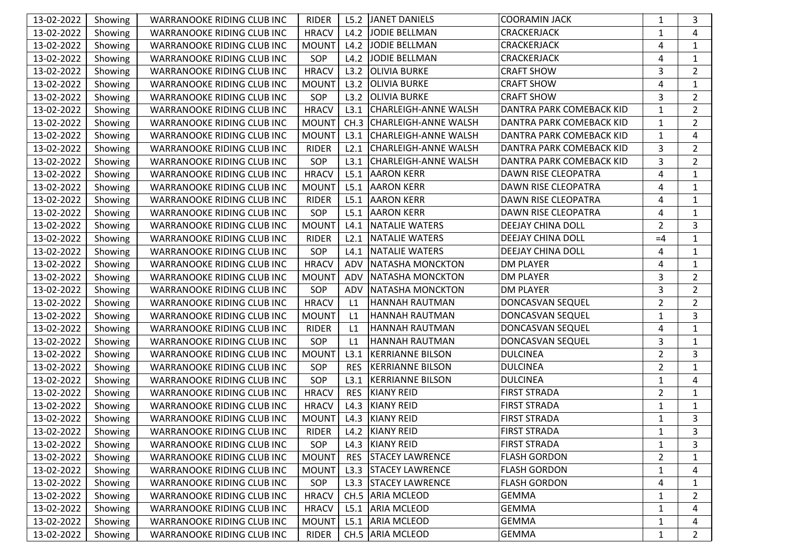| 13-02-2022 | Showing | WARRANOOKE RIDING CLUB INC        | <b>RIDER</b> | L5.2       | JANET DANIELS             | <b>COORAMIN JACK</b>     | 1              | 3              |
|------------|---------|-----------------------------------|--------------|------------|---------------------------|--------------------------|----------------|----------------|
| 13-02-2022 | Showing | WARRANOOKE RIDING CLUB INC        | <b>HRACV</b> | L4.2       | JODIE BELLMAN             | CRACKERJACK              | $\mathbf{1}$   | 4              |
| 13-02-2022 | Showing | WARRANOOKE RIDING CLUB INC        | <b>MOUNT</b> | L4.2       | <b>JODIE BELLMAN</b>      | CRACKERJACK              | 4              | 1              |
| 13-02-2022 | Showing | WARRANOOKE RIDING CLUB INC        | SOP          | L4.2       | <b>JODIE BELLMAN</b>      | <b>CRACKERJACK</b>       | 4              | 1              |
| 13-02-2022 | Showing | WARRANOOKE RIDING CLUB INC        | <b>HRACV</b> | L3.2       | <b>OLIVIA BURKE</b>       | <b>CRAFT SHOW</b>        | 3              | $\overline{2}$ |
| 13-02-2022 | Showing | WARRANOOKE RIDING CLUB INC        | <b>MOUNT</b> | L3.2       | <b>OLIVIA BURKE</b>       | <b>CRAFT SHOW</b>        | 4              | 1              |
| 13-02-2022 | Showing | WARRANOOKE RIDING CLUB INC        | SOP          | L3.2       | <b>OLIVIA BURKE</b>       | <b>CRAFT SHOW</b>        | 3              | $\overline{2}$ |
| 13-02-2022 | Showing | WARRANOOKE RIDING CLUB INC        | <b>HRACV</b> |            | L3.1 CHARLEIGH-ANNE WALSH | DANTRA PARK COMEBACK KID | $\mathbf{1}$   | $\overline{2}$ |
| 13-02-2022 | Showing | WARRANOOKE RIDING CLUB INC        | <b>MOUNT</b> |            | CH.3 CHARLEIGH-ANNE WALSH | DANTRA PARK COMEBACK KID | $\mathbf{1}$   | $\overline{2}$ |
| 13-02-2022 | Showing | WARRANOOKE RIDING CLUB INC        | <b>MOUNT</b> | L3.1       | CHARLEIGH-ANNE WALSH      | DANTRA PARK COMEBACK KID | $\mathbf{1}$   | 4              |
| 13-02-2022 | Showing | WARRANOOKE RIDING CLUB INC        | <b>RIDER</b> | L2.1       | CHARLEIGH-ANNE WALSH      | DANTRA PARK COMEBACK KID | 3              | $\overline{2}$ |
| 13-02-2022 | Showing | WARRANOOKE RIDING CLUB INC        | SOP          |            | L3.1 CHARLEIGH-ANNE WALSH | DANTRA PARK COMEBACK KID | 3              | $\overline{2}$ |
| 13-02-2022 | Showing | WARRANOOKE RIDING CLUB INC        | <b>HRACV</b> |            | L5.1 AARON KERR           | DAWN RISE CLEOPATRA      | 4              | 1              |
| 13-02-2022 | Showing | WARRANOOKE RIDING CLUB INC        | <b>MOUNT</b> |            | L5.1 AARON KERR           | DAWN RISE CLEOPATRA      | 4              | $\mathbf{1}$   |
| 13-02-2022 | Showing | WARRANOOKE RIDING CLUB INC        | <b>RIDER</b> | L5.1       | <b>AARON KERR</b>         | DAWN RISE CLEOPATRA      | 4              | 1              |
| 13-02-2022 | Showing | WARRANOOKE RIDING CLUB INC        | SOP          | L5.1       | <b>AARON KERR</b>         | DAWN RISE CLEOPATRA      | 4              | $\mathbf{1}$   |
| 13-02-2022 | Showing | WARRANOOKE RIDING CLUB INC        | <b>MOUNT</b> | L4.1       | <b>NATALIE WATERS</b>     | DEEJAY CHINA DOLL        | $\overline{2}$ | 3              |
| 13-02-2022 | Showing | WARRANOOKE RIDING CLUB INC        | <b>RIDER</b> | L2.1       | NATALIE WATERS            | <b>DEEJAY CHINA DOLL</b> | $=4$           | 1              |
| 13-02-2022 | Showing | WARRANOOKE RIDING CLUB INC        | SOP          |            | L4.1 NATALIE WATERS       | DEEJAY CHINA DOLL        | 4              | 1              |
| 13-02-2022 | Showing | <b>WARRANOOKE RIDING CLUB INC</b> | <b>HRACV</b> | ADV        | <b>NATASHA MONCKTON</b>   | <b>DM PLAYER</b>         | 4              | 1              |
| 13-02-2022 | Showing | WARRANOOKE RIDING CLUB INC        | <b>MOUNT</b> | ADV        | NATASHA MONCKTON          | <b>DM PLAYER</b>         | 3              | $\overline{2}$ |
| 13-02-2022 | Showing | WARRANOOKE RIDING CLUB INC        | SOP          | ADV        | NATASHA MONCKTON          | <b>DM PLAYER</b>         | 3              | $\overline{2}$ |
| 13-02-2022 | Showing | WARRANOOKE RIDING CLUB INC        | <b>HRACV</b> | L1         | HANNAH RAUTMAN            | DONCASVAN SEQUEL         | $\overline{2}$ | $\overline{2}$ |
| 13-02-2022 | Showing | WARRANOOKE RIDING CLUB INC        | <b>MOUNT</b> | L1         | HANNAH RAUTMAN            | DONCASVAN SEQUEL         | $\mathbf 1$    | 3              |
| 13-02-2022 | Showing | WARRANOOKE RIDING CLUB INC        | <b>RIDER</b> | L1         | HANNAH RAUTMAN            | DONCASVAN SEQUEL         | 4              | 1              |
| 13-02-2022 | Showing | WARRANOOKE RIDING CLUB INC        | SOP          | L1         | HANNAH RAUTMAN            | DONCASVAN SEQUEL         | 3              | 1              |
| 13-02-2022 | Showing | WARRANOOKE RIDING CLUB INC        | <b>MOUNT</b> | L3.1       | <b>KERRIANNE BILSON</b>   | <b>DULCINEA</b>          | $\overline{2}$ | 3              |
| 13-02-2022 | Showing | WARRANOOKE RIDING CLUB INC        | SOP          | <b>RES</b> | <b>KERRIANNE BILSON</b>   | <b>DULCINEA</b>          | $\overline{2}$ | 1              |
| 13-02-2022 | Showing | WARRANOOKE RIDING CLUB INC        | SOP          | L3.1       | <b>KERRIANNE BILSON</b>   | <b>DULCINEA</b>          | $\mathbf{1}$   | 4              |
| 13-02-2022 | Showing | WARRANOOKE RIDING CLUB INC        | <b>HRACV</b> | <b>RES</b> | <b>KIANY REID</b>         | <b>FIRST STRADA</b>      | $\overline{2}$ | $\mathbf{1}$   |
| 13-02-2022 | Showing | WARRANOOKE RIDING CLUB INC        | <b>HRACV</b> | L4.3       | <b>KIANY REID</b>         | <b>FIRST STRADA</b>      | 1              | 1              |
| 13-02-2022 | Showing | WARRANOOKE RIDING CLUB INC        | <b>MOUNT</b> |            | L4.3 KIANY REID           | <b>FIRST STRADA</b>      | $\mathbf{1}$   | 3              |
| 13-02-2022 | Showing | WARRANOOKE RIDING CLUB INC        | RIDER        |            | L4.2 KIANY REID           | <b>FIRST STRADA</b>      | $\mathbf{1}$   | $\mathbf{3}$   |
| 13-02-2022 | Showing | WARRANOOKE RIDING CLUB INC        | SOP          | L4.3       | KIANY REID                | <b>FIRST STRADA</b>      | $\mathbf{1}$   | 3              |
| 13-02-2022 | Showing | WARRANOOKE RIDING CLUB INC        | <b>MOUNT</b> | <b>RES</b> | <b>STACEY LAWRENCE</b>    | <b>FLASH GORDON</b>      | $\overline{2}$ | 1              |
| 13-02-2022 | Showing | WARRANOOKE RIDING CLUB INC        | <b>MOUNT</b> |            | L3.3   STACEY LAWRENCE    | <b>FLASH GORDON</b>      | $\mathbf{1}$   | 4              |
| 13-02-2022 | Showing | WARRANOOKE RIDING CLUB INC        | SOP          | L3.3       | <b>STACEY LAWRENCE</b>    | <b>FLASH GORDON</b>      | 4              | 1              |
| 13-02-2022 | Showing | WARRANOOKE RIDING CLUB INC        | <b>HRACV</b> |            | CH.5 ARIA MCLEOD          | <b>GEMMA</b>             | 1              | 2              |
| 13-02-2022 | Showing | WARRANOOKE RIDING CLUB INC        | <b>HRACV</b> |            | L5.1   ARIA MCLEOD        | <b>GEMMA</b>             | $\mathbf{1}$   | 4              |
| 13-02-2022 | Showing | WARRANOOKE RIDING CLUB INC        | <b>MOUNT</b> | L5.1       | <b>ARIA MCLEOD</b>        | <b>GEMMA</b>             | $\mathbf{1}$   | 4              |
| 13-02-2022 | Showing | WARRANOOKE RIDING CLUB INC        | <b>RIDER</b> |            | CH.5 ARIA MCLEOD          | <b>GEMMA</b>             | $\mathbf{1}$   | $\overline{2}$ |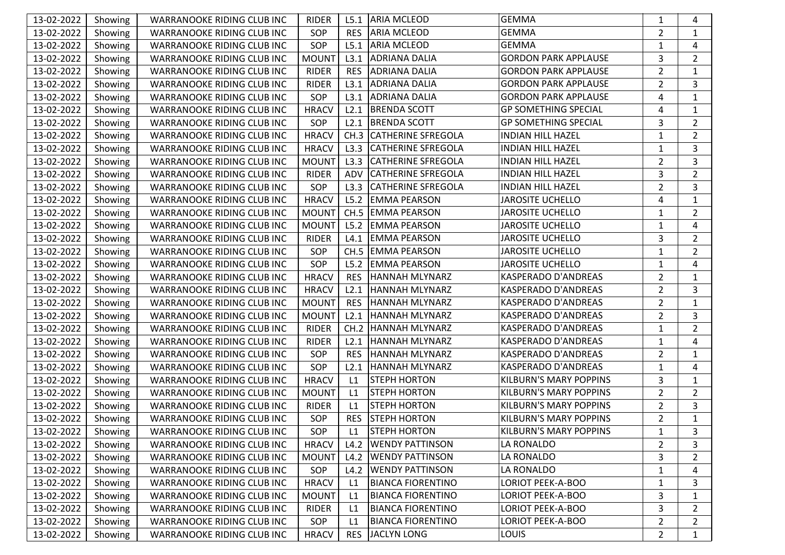| 13-02-2022 | Showing | WARRANOOKE RIDING CLUB INC        | <b>RIDER</b> | L5.1       | <b>ARIA MCLEOD</b>        | GEMMA                         | 1              | 4              |
|------------|---------|-----------------------------------|--------------|------------|---------------------------|-------------------------------|----------------|----------------|
| 13-02-2022 | Showing | WARRANOOKE RIDING CLUB INC        | SOP          | <b>RES</b> | <b>ARIA MCLEOD</b>        | <b>GEMMA</b>                  | $\overline{2}$ | 1              |
| 13-02-2022 | Showing | WARRANOOKE RIDING CLUB INC        | SOP          | L5.1       | <b>ARIA MCLEOD</b>        | <b>GEMMA</b>                  | $\mathbf{1}$   | 4              |
| 13-02-2022 | Showing | WARRANOOKE RIDING CLUB INC        | <b>MOUNT</b> | L3.1       | <b>ADRIANA DALIA</b>      | <b>GORDON PARK APPLAUSE</b>   | 3              | $\overline{2}$ |
| 13-02-2022 | Showing | WARRANOOKE RIDING CLUB INC        | <b>RIDER</b> | <b>RES</b> | <b>ADRIANA DALIA</b>      | <b>GORDON PARK APPLAUSE</b>   | $\overline{2}$ | $\mathbf{1}$   |
| 13-02-2022 | Showing | WARRANOOKE RIDING CLUB INC        | <b>RIDER</b> | L3.1       | <b>ADRIANA DALIA</b>      | <b>GORDON PARK APPLAUSE</b>   | $\overline{2}$ | 3              |
| 13-02-2022 | Showing | WARRANOOKE RIDING CLUB INC        | SOP          | L3.1       | <b>ADRIANA DALIA</b>      | <b>GORDON PARK APPLAUSE</b>   | 4              | $\mathbf{1}$   |
| 13-02-2022 | Showing | WARRANOOKE RIDING CLUB INC        | <b>HRACV</b> | L2.1       | <b>BRENDA SCOTT</b>       | <b>GP SOMETHING SPECIAL</b>   | 4              | 1              |
| 13-02-2022 | Showing | WARRANOOKE RIDING CLUB INC        | SOP          | L2.1       | <b>BRENDA SCOTT</b>       | <b>GP SOMETHING SPECIAL</b>   | 3              | $\overline{2}$ |
| 13-02-2022 | Showing | WARRANOOKE RIDING CLUB INC        | <b>HRACV</b> | CH.3       | <b>CATHERINE SFREGOLA</b> | <b>INDIAN HILL HAZEL</b>      | $\mathbf{1}$   | $\overline{2}$ |
| 13-02-2022 | Showing | WARRANOOKE RIDING CLUB INC        | <b>HRACV</b> | L3.3       | <b>CATHERINE SFREGOLA</b> | <b>INDIAN HILL HAZEL</b>      | $\mathbf{1}$   | 3              |
| 13-02-2022 | Showing | WARRANOOKE RIDING CLUB INC        | <b>MOUNT</b> | L3.3       | <b>CATHERINE SFREGOLA</b> | <b>INDIAN HILL HAZEL</b>      | $\overline{2}$ | 3              |
| 13-02-2022 | Showing | WARRANOOKE RIDING CLUB INC        | <b>RIDER</b> | <b>ADV</b> | <b>CATHERINE SFREGOLA</b> | <b>INDIAN HILL HAZEL</b>      | 3              | $\overline{2}$ |
| 13-02-2022 | Showing | WARRANOOKE RIDING CLUB INC        | SOP          | L3.3       | <b>CATHERINE SFREGOLA</b> | <b>INDIAN HILL HAZEL</b>      | $\overline{2}$ | 3              |
| 13-02-2022 | Showing | WARRANOOKE RIDING CLUB INC        | <b>HRACV</b> | L5.2       | <b>EMMA PEARSON</b>       | <b>JAROSITE UCHELLO</b>       | 4              | $\mathbf{1}$   |
| 13-02-2022 | Showing | WARRANOOKE RIDING CLUB INC        | <b>MOUNT</b> |            | CH.5 EMMA PEARSON         | <b>JAROSITE UCHELLO</b>       | $\mathbf{1}$   | $\overline{2}$ |
| 13-02-2022 | Showing | WARRANOOKE RIDING CLUB INC        | <b>MOUNT</b> | L5.2       | <b>EMMA PEARSON</b>       | <b>JAROSITE UCHELLO</b>       | $\mathbf{1}$   | 4              |
| 13-02-2022 | Showing | WARRANOOKE RIDING CLUB INC        | <b>RIDER</b> | L4.1       | <b>EMMA PEARSON</b>       | <b>JAROSITE UCHELLO</b>       | 3              | $\overline{2}$ |
| 13-02-2022 | Showing | WARRANOOKE RIDING CLUB INC        | SOP          |            | CH.5 EMMA PEARSON         | <b>JAROSITE UCHELLO</b>       | $\mathbf{1}$   | $\overline{2}$ |
| 13-02-2022 | Showing | WARRANOOKE RIDING CLUB INC        | SOP          | L5.2       | <b>EMMA PEARSON</b>       | <b>JAROSITE UCHELLO</b>       | $\mathbf{1}$   | 4              |
| 13-02-2022 | Showing | WARRANOOKE RIDING CLUB INC        | <b>HRACV</b> | <b>RES</b> | HANNAH MLYNARZ            | <b>KASPERADO D'ANDREAS</b>    | $\overline{2}$ | 1              |
| 13-02-2022 | Showing | WARRANOOKE RIDING CLUB INC        | <b>HRACV</b> | L2.1       | <b>HANNAH MLYNARZ</b>     | <b>KASPERADO D'ANDREAS</b>    | $\overline{2}$ | 3              |
| 13-02-2022 | Showing | WARRANOOKE RIDING CLUB INC        | <b>MOUNT</b> | <b>RES</b> | HANNAH MLYNARZ            | <b>KASPERADO D'ANDREAS</b>    | $\overline{2}$ | 1              |
| 13-02-2022 | Showing | WARRANOOKE RIDING CLUB INC        | <b>MOUNT</b> | L2.1       | <b>HANNAH MLYNARZ</b>     | KASPERADO D'ANDREAS           | $\overline{2}$ | 3              |
| 13-02-2022 | Showing | WARRANOOKE RIDING CLUB INC        | <b>RIDER</b> |            | CH.2   HANNAH MLYNARZ     | <b>KASPERADO D'ANDREAS</b>    | $\mathbf{1}$   | $\overline{2}$ |
| 13-02-2022 | Showing | WARRANOOKE RIDING CLUB INC        | <b>RIDER</b> | L2.1       | HANNAH MLYNARZ            | <b>KASPERADO D'ANDREAS</b>    | $\mathbf{1}$   | 4              |
| 13-02-2022 | Showing | WARRANOOKE RIDING CLUB INC        | SOP          | <b>RES</b> | HANNAH MLYNARZ            | <b>KASPERADO D'ANDREAS</b>    | $\overline{2}$ | $\mathbf{1}$   |
| 13-02-2022 | Showing | WARRANOOKE RIDING CLUB INC        | SOP          | L2.1       | <b>HANNAH MLYNARZ</b>     | KASPERADO D'ANDREAS           | 1              | 4              |
| 13-02-2022 | Showing | WARRANOOKE RIDING CLUB INC        | <b>HRACV</b> | L1         | <b>STEPH HORTON</b>       | <b>KILBURN'S MARY POPPINS</b> | 3              | $\mathbf{1}$   |
| 13-02-2022 | Showing | WARRANOOKE RIDING CLUB INC        | <b>MOUNT</b> | L1         | <b>STEPH HORTON</b>       | <b>KILBURN'S MARY POPPINS</b> | $\overline{2}$ | $\overline{2}$ |
| 13-02-2022 | Showing | WARRANOOKE RIDING CLUB INC        | <b>RIDER</b> | L1         | <b>STEPH HORTON</b>       | <b>KILBURN'S MARY POPPINS</b> | $\overline{2}$ | 3              |
| 13-02-2022 | Showing | WARRANOOKE RIDING CLUB INC        | SOP          | <b>RES</b> | <b>STEPH HORTON</b>       | <b>KILBURN'S MARY POPPINS</b> | $\overline{2}$ | 1              |
| 13-02-2022 | Showing | WARRANOOKE RIDING CLUB INC        | SOP          | L1         | <b>STEPH HORTON</b>       | <b>KILBURN'S MARY POPPINS</b> | $\mathbf{1}$   | $\mathbf{3}$   |
| 13-02-2022 | Showing | WARRANOOKE RIDING CLUB INC        | <b>HRACV</b> | L4.2       | <b>WENDY PATTINSON</b>    | LA RONALDO                    | $\overline{2}$ | 3              |
| 13-02-2022 | Showing | <b>WARRANOOKE RIDING CLUB INC</b> | <b>MOUNT</b> | L4.2       | <b>WENDY PATTINSON</b>    | LA RONALDO                    | 3              | $\overline{2}$ |
| 13-02-2022 | Showing | WARRANOOKE RIDING CLUB INC        | SOP          | L4.2       | <b>WENDY PATTINSON</b>    | LA RONALDO                    | $\mathbf{1}$   | 4              |
| 13-02-2022 | Showing | WARRANOOKE RIDING CLUB INC        | <b>HRACV</b> | L1         | <b>BIANCA FIORENTINO</b>  | <b>LORIOT PEEK-A-BOO</b>      | $\mathbf{1}$   | 3              |
| 13-02-2022 | Showing | WARRANOOKE RIDING CLUB INC        | <b>MOUNT</b> | L1         | <b>BIANCA FIORENTINO</b>  | <b>LORIOT PEEK-A-BOO</b>      | 3              | 1              |
| 13-02-2022 | Showing | WARRANOOKE RIDING CLUB INC        | RIDER        | L1         | <b>BIANCA FIORENTINO</b>  | <b>LORIOT PEEK-A-BOO</b>      | 3              | 2              |
| 13-02-2022 | Showing | WARRANOOKE RIDING CLUB INC        | SOP          | L1         | <b>BIANCA FIORENTINO</b>  | <b>LORIOT PEEK-A-BOO</b>      | $\overline{2}$ | 2              |
| 13-02-2022 | Showing | WARRANOOKE RIDING CLUB INC        | <b>HRACV</b> | <b>RES</b> | JACLYN LONG               | LOUIS                         | $\overline{2}$ | 1              |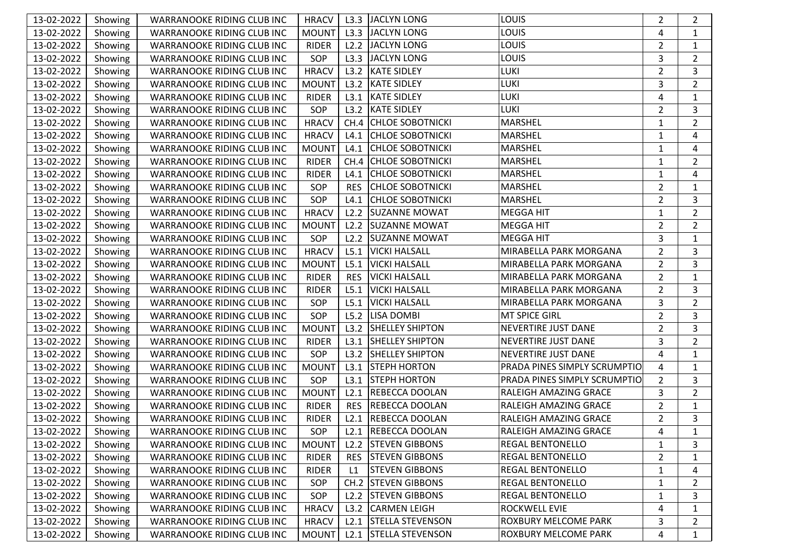| 13-02-2022 | Showing | WARRANOOKE RIDING CLUB INC | <b>HRACV</b> | L3.3       | JACLYN LONG             | <b>LOUIS</b>                 | 2              | 2              |
|------------|---------|----------------------------|--------------|------------|-------------------------|------------------------------|----------------|----------------|
| 13-02-2022 | Showing | WARRANOOKE RIDING CLUB INC | <b>MOUNT</b> | L3.3       | JACLYN LONG             | LOUIS                        | 4              | 1              |
| 13-02-2022 | Showing | WARRANOOKE RIDING CLUB INC | <b>RIDER</b> | L2.2       | JACLYN LONG             | <b>LOUIS</b>                 | $\overline{2}$ | 1              |
| 13-02-2022 | Showing | WARRANOOKE RIDING CLUB INC | SOP          | L3.3       | JACLYN LONG             | <b>LOUIS</b>                 | 3              | $\overline{2}$ |
| 13-02-2022 | Showing | WARRANOOKE RIDING CLUB INC | <b>HRACV</b> | L3.2       | <b>KATE SIDLEY</b>      | LUKI                         | $\overline{2}$ | 3              |
| 13-02-2022 | Showing | WARRANOOKE RIDING CLUB INC | <b>MOUNT</b> |            | L3.2 KATE SIDLEY        | LUKI                         | 3              | 2              |
| 13-02-2022 | Showing | WARRANOOKE RIDING CLUB INC | <b>RIDER</b> |            | L3.1 KATE SIDLEY        | LUKI                         | $\overline{4}$ | $\mathbf{1}$   |
| 13-02-2022 | Showing | WARRANOOKE RIDING CLUB INC | SOP          |            | L3.2 KATE SIDLEY        | LUKI                         | $\overline{2}$ | 3              |
| 13-02-2022 | Showing | WARRANOOKE RIDING CLUB INC | <b>HRACV</b> |            | CH.4 CHLOE SOBOTNICKI   | <b>MARSHEL</b>               | $\mathbf{1}$   | $\overline{2}$ |
| 13-02-2022 | Showing | WARRANOOKE RIDING CLUB INC | <b>HRACV</b> | L4.1       | <b>CHLOE SOBOTNICKI</b> | <b>MARSHEL</b>               | $\mathbf{1}$   | 4              |
| 13-02-2022 | Showing | WARRANOOKE RIDING CLUB INC | <b>MOUNT</b> | L4.1       | <b>CHLOE SOBOTNICKI</b> | <b>MARSHEL</b>               | 1              | 4              |
| 13-02-2022 | Showing | WARRANOOKE RIDING CLUB INC | <b>RIDER</b> |            | CH.4 CHLOE SOBOTNICKI   | <b>MARSHEL</b>               | $\mathbf{1}$   | $\overline{2}$ |
| 13-02-2022 | Showing | WARRANOOKE RIDING CLUB INC | <b>RIDER</b> | L4.1       | <b>CHLOE SOBOTNICKI</b> | <b>MARSHEL</b>               | $\mathbf{1}$   | 4              |
| 13-02-2022 | Showing | WARRANOOKE RIDING CLUB INC | SOP          | <b>RES</b> | <b>CHLOE SOBOTNICKI</b> | <b>MARSHEL</b>               | $\overline{2}$ | $\mathbf{1}$   |
| 13-02-2022 | Showing | WARRANOOKE RIDING CLUB INC | SOP          | L4.1       | <b>CHLOE SOBOTNICKI</b> | <b>MARSHEL</b>               | $\overline{2}$ | 3              |
| 13-02-2022 | Showing | WARRANOOKE RIDING CLUB INC | <b>HRACV</b> |            | L2.2 SUZANNE MOWAT      | <b>MEGGA HIT</b>             | $\mathbf{1}$   | 2              |
| 13-02-2022 | Showing | WARRANOOKE RIDING CLUB INC | <b>MOUNT</b> |            | L2.2 SUZANNE MOWAT      | <b>MEGGA HIT</b>             | $\overline{2}$ | $\overline{2}$ |
| 13-02-2022 | Showing | WARRANOOKE RIDING CLUB INC | SOP          |            | L2.2 SUZANNE MOWAT      | <b>MEGGA HIT</b>             | 3              | 1              |
| 13-02-2022 | Showing | WARRANOOKE RIDING CLUB INC | <b>HRACV</b> |            | L5.1 VICKI HALSALL      | MIRABELLA PARK MORGANA       | $\overline{2}$ | 3              |
| 13-02-2022 | Showing | WARRANOOKE RIDING CLUB INC | <b>MOUNT</b> | L5.1       | <b>VICKI HALSALL</b>    | MIRABELLA PARK MORGANA       | $\overline{2}$ | 3              |
| 13-02-2022 | Showing | WARRANOOKE RIDING CLUB INC | <b>RIDER</b> | <b>RES</b> | <b>VICKI HALSALL</b>    | MIRABELLA PARK MORGANA       | $\overline{2}$ | 1              |
| 13-02-2022 | Showing | WARRANOOKE RIDING CLUB INC | <b>RIDER</b> | L5.1       | <b>VICKI HALSALL</b>    | MIRABELLA PARK MORGANA       | $\overline{2}$ | 3              |
| 13-02-2022 | Showing | WARRANOOKE RIDING CLUB INC | SOP          | L5.1       | <b>VICKI HALSALL</b>    | MIRABELLA PARK MORGANA       | 3              | $\overline{2}$ |
| 13-02-2022 | Showing | WARRANOOKE RIDING CLUB INC | SOP          |            | L5.2 LISA DOMBI         | <b>MT SPICE GIRL</b>         | $\overline{2}$ | 3              |
| 13-02-2022 | Showing | WARRANOOKE RIDING CLUB INC | <b>MOUNT</b> |            | L3.2 SHELLEY SHIPTON    | NEVERTIRE JUST DANE          | $\overline{2}$ | 3              |
| 13-02-2022 | Showing | WARRANOOKE RIDING CLUB INC | <b>RIDER</b> |            | L3.1   SHELLEY SHIPTON  | NEVERTIRE JUST DANE          | 3              | $\overline{2}$ |
| 13-02-2022 | Showing | WARRANOOKE RIDING CLUB INC | SOP          |            | L3.2   SHELLEY SHIPTON  | NEVERTIRE JUST DANE          | 4              | 1              |
| 13-02-2022 | Showing | WARRANOOKE RIDING CLUB INC | <b>MOUNT</b> |            | L3.1 STEPH HORTON       | PRADA PINES SIMPLY SCRUMPTIO | 4              | 1              |
| 13-02-2022 | Showing | WARRANOOKE RIDING CLUB INC | SOP          |            | L3.1 STEPH HORTON       | PRADA PINES SIMPLY SCRUMPTIO | $\overline{2}$ | 3              |
| 13-02-2022 | Showing | WARRANOOKE RIDING CLUB INC | <b>MOUNT</b> | L2.1       | <b>REBECCA DOOLAN</b>   | RALEIGH AMAZING GRACE        | 3              | $\overline{2}$ |
| 13-02-2022 | Showing | WARRANOOKE RIDING CLUB INC | <b>RIDER</b> | <b>RES</b> | <b>REBECCA DOOLAN</b>   | <b>RALEIGH AMAZING GRACE</b> | $\overline{2}$ | 1              |
| 13-02-2022 | Showing | WARRANOOKE RIDING CLUB INC | <b>RIDER</b> |            | L2.1 REBECCA DOOLAN     | RALEIGH AMAZING GRACE        | $\overline{2}$ | 3              |
| 13-02-2022 | Showing | WARRANOOKE RIDING CLUB INC | SOP          |            | L2.1 REBECCA DOOLAN     | RALEIGH AMAZING GRACE        | 4              | $\mathbf{1}$   |
| 13-02-2022 | Showing | WARRANOOKE RIDING CLUB INC | <b>MOUNT</b> |            | L2.2 STEVEN GIBBONS     | <b>REGAL BENTONELLO</b>      | 1              | 3              |
| 13-02-2022 | Showing | WARRANOOKE RIDING CLUB INC | <b>RIDER</b> | <b>RES</b> | <b>STEVEN GIBBONS</b>   | <b>REGAL BENTONELLO</b>      | $\overline{2}$ | 1              |
| 13-02-2022 | Showing | WARRANOOKE RIDING CLUB INC | RIDER        | L1         | <b>STEVEN GIBBONS</b>   | <b>REGAL BENTONELLO</b>      | $\mathbf{1}$   | 4              |
| 13-02-2022 | Showing | WARRANOOKE RIDING CLUB INC | SOP          |            | CH.2 STEVEN GIBBONS     | <b>REGAL BENTONELLO</b>      | $\mathbf{1}$   | 2              |
| 13-02-2022 | Showing | WARRANOOKE RIDING CLUB INC | SOP          |            | L2.2 STEVEN GIBBONS     | <b>REGAL BENTONELLO</b>      | 1              | 3              |
| 13-02-2022 | Showing | WARRANOOKE RIDING CLUB INC | <b>HRACV</b> |            | L3.2 CARMEN LEIGH       | <b>ROCKWELL EVIE</b>         | 4              | 1              |
| 13-02-2022 | Showing | WARRANOOKE RIDING CLUB INC | <b>HRACV</b> |            | L2.1 STELLA STEVENSON   | ROXBURY MELCOME PARK         | 3              | 2              |
| 13-02-2022 | Showing | WARRANOOKE RIDING CLUB INC | <b>MOUNT</b> |            | L2.1 STELLA STEVENSON   | ROXBURY MELCOME PARK         | 4              | $\mathbf{1}$   |